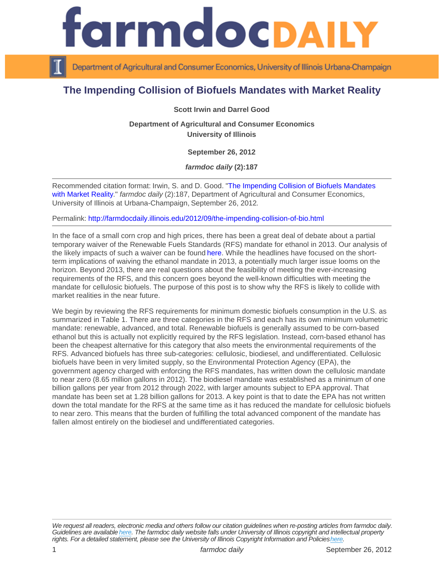## The Impending Collision of Biofuels Mandates with Market Reality

Scott Irwin and Darrel Good

Department of Agricultural and Consumer Economics University of Illinois

September 26, 2012

farmdoc daily (2):187

Recommended citation format: Irwin, S. and D. Good. "[The Impending Collision of Biofuels Mandates](http://farmdocdaily.illinois.edu/2012/09/the-impending-collision-of-bio.html)  [with Market Reality](http://farmdocdaily.illinois.edu/2012/09/the-impending-collision-of-bio.html)." farmdoc daily (2):187, Department of Agricultural and Consumer Economics, University of Illinois at Urbana-Champaign, September 26, 2012.

Permalink:<http://farmdocdaily.illinois.edu/2012/09/the-impending-collision-of-bio.html>

In the face of a small corn crop and high prices, there has been a great deal of debate about a partial temporary waiver of the Renewable Fuels Standards (RFS) mandate for ethanol in 2013. Our analysis of the likely impacts of such a waiver can be found [here.](http://farmdocdaily.illinois.edu/2012/08/ethanoldoes_the_rfs_matter.html) While the headlines have focused on the shortterm implications of waiving the ethanol mandate in 2013, a potentially much larger issue looms on the horizon. Beyond 2013, there are real questions about the feasibility of meeting the ever-increasing requirements of the RFS, and this concern goes beyond the well-known difficulties with meeting the mandate for cellulosic biofuels. The purpose of this post is to show why the RFS is likely to collide with market realities in the near future.

We begin by reviewing the RFS requirements for minimum domestic biofuels consumption in the U.S. as summarized in Table 1. There are three categories in the RFS and each has its own minimum volumetric mandate: renewable, advanced, and total. Renewable biofuels is generally assumed to be corn-based ethanol but this is actually not explicitly required by the RFS legislation. Instead, corn-based ethanol has been the cheapest alternative for this category that also meets the environmental requirements of the RFS. Advanced biofuels has three sub-categories: cellulosic, biodiesel, and undifferentiated. Cellulosic biofuels have been in very limited supply, so the Environmental Protection Agency (EPA), the government agency charged with enforcing the RFS mandates, has written down the cellulosic mandate to near zero (8.65 million gallons in 2012). The biodiesel mandate was established as a minimum of one billion gallons per year from 2012 through 2022, with larger amounts subject to EPA approval. That mandate has been set at 1.28 billion gallons for 2013. A key point is that to date the EPA has not written down the total mandate for the RFS at the same time as it has reduced the mandate for cellulosic biofuels to near zero. This means that the burden of fulfilling the total advanced component of the mandate has fallen almost entirely on the biodiesel and undifferentiated categories.

We request all readers, electronic media and others follow our citation guidelines when re-posting articles from farmdoc daily. Guidelines are available [here](http://farmdocdaily.illinois.edu/citationguide.html). The farmdoc daily website falls under University of Illinois copyright and intellectual property rights. For a detailed statement, please see the University of Illinois Copyright Information and Policies [here.](https://techservices.illinois.edu/office-cio)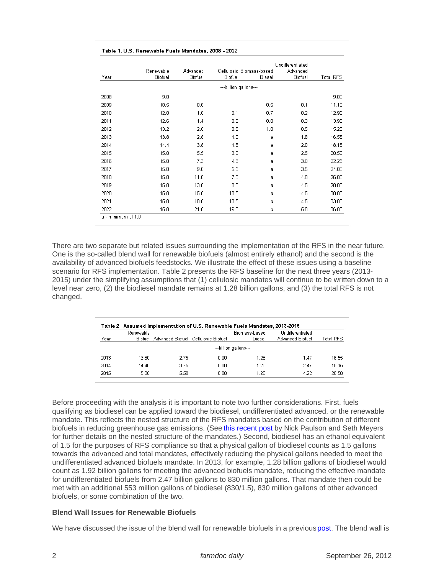There are two separate but related issues surrounding the implementation of the RFS in the near future. One is the so-called blend wall for renewable biofuels (almost entirely ethanol) and the second is the availability of advanced biofuels feedstocks. We illustrate the effect of these issues using a baseline scenario for RFS implementation. Table 2 presents the RFS baseline for the next three years (2013- 2015) under the simplifying assumptions that (1) cellulosic mandates will continue to be written down to a level near zero, (2) the biodiesel mandate remains at 1.28 billion gallons, and (3) the total RFS is not changed.

Before proceeding with the analysis it is important to note two further considerations. First, fuels qualifying as biodiesel can be applied toward the biodiesel, undifferentiated advanced, or the renewable mandate. This reflects the nested structure of the RFS mandates based on the contribution of different biofuels in reducing greenhouse gas emissions. (See [this recent post](http://farmdocdaily.illinois.edu/2012/09/the_nested_structure_of_the_rf.html) by Nick Paulson and Seth Meyers for further details on the nested structure of the mandates.) Second, biodiesel has an ethanol equivalent of 1.5 for the purposes of RFS compliance so that a physical gallon of biodiesel counts as 1.5 gallons towards the advanced and total mandates, effectively reducing the physical gallons needed to meet the undifferentiated advanced biofuels mandate. In 2013, for example, 1.28 billion gallons of biodiesel would count as 1.92 billion gallons for meeting the advanced biofuels mandate, reducing the effective mandate for undifferentiated biofuels from 2.47 billion gallons to 830 million gallons. That mandate then could be met with an additional 553 million gallons of biodiesel (830/1.5), 830 million gallons of other advanced biofuels, or some combination of the two.

Blend Wall Issues for Renewable Biofuels

We have discussed the issue of the blend wall for renewable biofuels in a previous [post.](http://farmdocdaily.illinois.edu/2012/05/is_the_long_ethanol_boom_comin_1.html) The blend wall is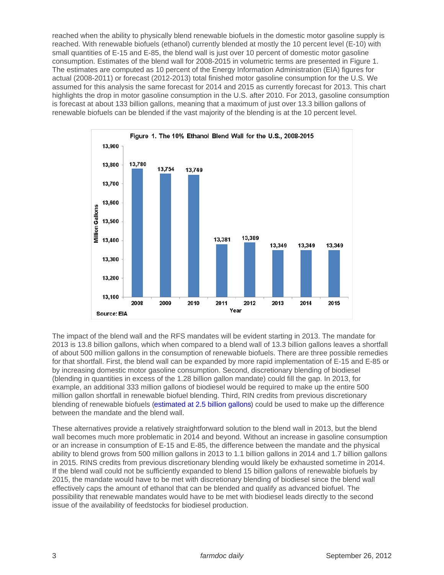reached when the ability to physically blend renewable biofuels in the domestic motor gasoline supply is reached. With renewable biofuels (ethanol) currently blended at mostly the 10 percent level (E-10) with small quantities of E-15 and E-85, the blend wall is just over 10 percent of domestic motor gasoline consumption. Estimates of the blend wall for 2008-2015 in volumetric terms are presented in Figure 1. The estimates are computed as 10 percent of the Energy Information Administration (EIA) figures for actual (2008-2011) or forecast (2012-2013) total finished motor gasoline consumption for the U.S. We assumed for this analysis the same forecast for 2014 and 2015 as currently forecast for 2013. This chart highlights the drop in motor gasoline consumption in the U.S. after 2010. For 2013, gasoline consumption is forecast at about 133 billion gallons, meaning that a maximum of just over 13.3 billion gallons of renewable biofuels can be blended if the vast majority of the blending is at the 10 percent level.

The impact of the blend wall and the RFS mandates will be evident starting in 2013. The mandate for 2013 is 13.8 billion gallons, which when compared to a blend wall of 13.3 billion gallons leaves a shortfall of about 500 million gallons in the consumption of renewable biofuels. There are three possible remedies for that shortfall. First, the blend wall can be expanded by more rapid implementation of E-15 and E-85 or by increasing domestic motor gasoline consumption. Second, discretionary blending of biodiesel (blending in quantities in excess of the 1.28 billion gallon mandate) could fill the gap. In 2013, for example, an additional 333 million gallons of biodiesel would be required to make up the entire 500 million gallon shortfall in renewable biofuel blending. Third, RIN credits from previous discretionary blending of renewable biofuels [\(estimated at 2.5 billion gallons](http://farmdocdaily.illinois.edu/2012/05/is_the_long_ethanol_boom_comin_1.html)) could be used to make up the difference between the mandate and the blend wall.

These alternatives provide a relatively straightforward solution to the blend wall in 2013, but the blend wall becomes much more problematic in 2014 and beyond. Without an increase in gasoline consumption or an increase in consumption of E-15 and E-85, the difference between the mandate and the physical ability to blend grows from 500 million gallons in 2013 to 1.1 billion gallons in 2014 and 1.7 billion gallons in 2015. RINS credits from previous discretionary blending would likely be exhausted sometime in 2014. If the blend wall could not be sufficiently expanded to blend 15 billion gallons of renewable biofuels by 2015, the mandate would have to be met with discretionary blending of biodiesel since the blend wall effectively caps the amount of ethanol that can be blended and qualify as advanced biofuel. The possibility that renewable mandates would have to be met with biodiesel leads directly to the second issue of the availability of feedstocks for biodiesel production.